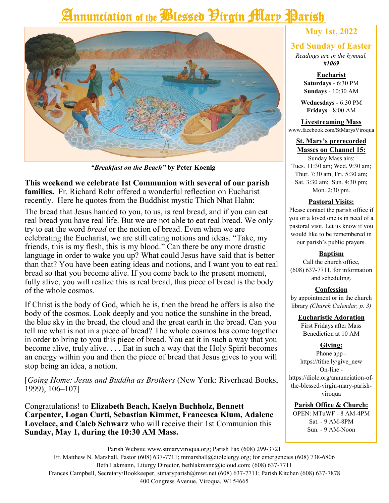# Annunciation of the *Plessed Pirgin Mary* Parish



*"Breakfast on the Beach"* **by Peter Koenig**

**This weekend we celebrate 1st Communion with several of our parish families.** Fr. Richard Rohr offered a wonderful reflection on Eucharist recently. Here he quotes from the Buddhist mystic Thich Nhat Hahn:

The bread that Jesus handed to you, to us, is real bread, and if you can eat real bread you have real life. But we are not able to eat real bread. We only try to eat the word *bread* or the notion of bread. Even when we are celebrating the Eucharist, we are still eating notions and ideas. "Take, my friends, this is my flesh, this is my blood." Can there be any more drastic language in order to wake you up? What could Jesus have said that is better than that? You have been eating ideas and notions, and I want you to eat real bread so that you become alive. If you come back to the present moment, fully alive, you will realize this is real bread, this piece of bread is the body of the whole cosmos.

If Christ is the body of God, which he is, then the bread he offers is also the body of the cosmos. Look deeply and you notice the sunshine in the bread, the blue sky in the bread, the cloud and the great earth in the bread. Can you tell me what is not in a piece of bread? The whole cosmos has come together in order to bring to you this piece of bread. You eat it in such a way that you become alive, truly alive. . . . Eat in such a way that the Holy Spirit becomes an energy within you and then the piece of bread that Jesus gives to you will stop being an idea, a notion.

[*Going Home: Jesus and Buddha as Brothers* (New York: Riverhead Books, 1999), 106–107]

Congratulations! to **Elizabeth Beach, Kaelyn Buchholz, Bennett Carpenter, Logan Curti, Sebastian Kimmet, Francesca Klum, Adalene Lovelace, and Caleb Schwarz** who will receive their 1st Communion this **Sunday, May 1, during the 10:30 AM Mass.**

## **May 1st, 2022**

### **3rd Sunday of Easter**

*Readings are in the hymnal, #1069*

> **Eucharist Saturdays** - 6:30 PM **Sundays** - 10:30 AM

**Wednesdays** - 6:30 PM **Fridays** - 8:00 AM

**Livestreaming Mass** www.facebook.com/StMarysViroqua

#### **St. Mary's prerecorded Masses on Channel 15:**

Sunday Mass airs: Tues. 11:30 am; Wed. 9:30 am; Thur. 7:30 am; Fri. 5:30 am; Sat. 3:30 am; Sun. 4:30 pm; Mon. 2:30 pm.

### **Pastoral Visits:**

Please contact the parish office if you or a loved one is in need of a pastoral visit. Let us know if you would like to be remembered in our parish's public prayers.

### **Baptism**

Call the church office, (608) 637-7711, for information and scheduling.

### **Confession**

by appointment or in the church library *(Church Calendar, p. 3)*

### **Eucharistic Adoration**

First Fridays after Mass Benediction at 10 AM

### **Giving:**

Phone app https://tithe.ly/give\_new On-line https://diolc.org/annunciation-ofthe-blessed-virgin-mary-parishviroqua

### **Parish Office & Church:**

OPEN: MTuWF - 8 AM-4PM Sat. - 9 AM-8PM Sun. - 9 AM-Noon

Parish Website www.stmaryviroqua.org; Parish Fax (608) 299-3721 Fr. Matthew N. Marshall, Pastor (608) 637-7711; mmarshall@diolclergy.org; for emergencies (608) 738-6806 Beth Lakmann, Liturgy Director, bethlakmann@icloud.com; (608) 637-7711 Frances Campbell, Secretary/Bookkeeper, stmaryparish@mwt.net (608) 637-7711; Parish Kitchen (608) 637-7878 400 Congress Avenue, Viroqua, WI 54665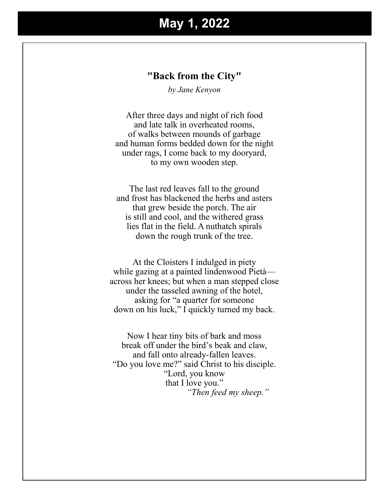# **May 1, 2022**

### **"Back from the City"**

*by Jane Kenyon*

After three days and night of rich food and late talk in overheated rooms, of walks between mounds of garbage and human forms bedded down for the night under rags, I come back to my dooryard, to my own wooden step.

The last red leaves fall to the ground and frost has blackened the herbs and asters that grew beside the porch. The air is still and cool, and the withered grass lies flat in the field. A nuthatch spirals down the rough trunk of the tree.

At the Cloisters I indulged in piety while gazing at a painted lindenwood Pietà across her knees; but when a man stepped close under the tasseled awning of the hotel, asking for "a quarter for someone down on his luck," I quickly turned my back.

Now I hear tiny bits of bark and moss break off under the bird's beak and claw, and fall onto already-fallen leaves. "Do you love me?" said Christ to his disciple. "Lord, you know that I love you." *"Then feed my sheep."*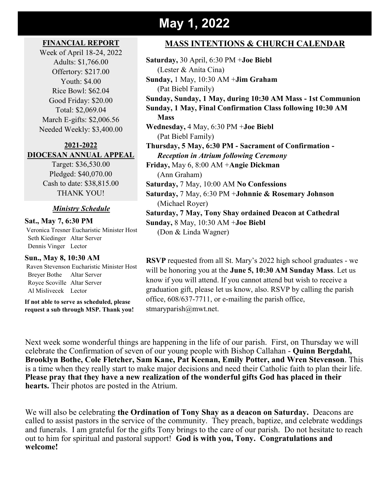# **May 1, 2022**

### **FINANCIAL REPORT**

Week of April 18-24, 2022 Adults: \$1,766.00 Offertory: \$217.00 Youth: \$4.00 Rice Bowl: \$62.04 Good Friday: \$20.00 Total: \$2,069.04 March E-gifts: \$2,006.56 Needed Weekly: \$3,400.00

### **2021-2022 DIOCESAN ANNUAL APPEAL**

Target: \$36,530.00 Pledged: \$40,070.00 Cash to date: \$38,815.00 THANK YOU!

### *Ministry Schedule*

**Sat., May 7, 6:30 PM** Veronica Tresner Eucharistic Minister Host Seth Kiedinger Altar Server Dennis Vinger Lector

### **Sun., May 8, 10:30 AM**

Raven Stevenson Eucharistic Minister Host Breyer Bothe Altar Server Royce Scoville Altar Server Al Mislivecek Lector

**If not able to serve as scheduled, please request a sub through MSP. Thank you!**

### **MASS INTENTIONS & CHURCH CALENDAR**

**Saturday,** 30 April, 6:30 PM +**Joe Biebl** (Lester & Anita Cina) **Sunday,** 1 May, 10:30 AM +**Jim Graham** (Pat Biebl Family) **Sunday, Sunday, 1 May, during 10:30 AM Mass - 1st Communion Sunday, 1 May, Final Confirmation Class following 10:30 AM Mass Wednesday,** 4 May, 6:30 PM +**Joe Biebl** (Pat Biebl Family) **Thursday, 5 May, 6:30 PM - Sacrament of Confirmation -** *Reception in Atrium following Ceremony* **Friday,** May 6, 8:00 AM +**Angie Dickman** (Ann Graham) **Saturday,** 7 May, 10:00 AM **No Confessions Saturday,** 7 May, 6:30 PM +**Johnnie & Rosemary Johnson** (Michael Royer) **Saturday, 7 May, Tony Shay ordained Deacon at Cathedral Sunday,** 8 May, 10:30 AM +**Joe Biebl** (Don & Linda Wagner)

**RSVP** requested from all St. Mary's 2022 high school graduates - we will be honoring you at the **June 5, 10:30 AM Sunday Mass**. Let us know if you will attend. If you cannot attend but wish to receive a graduation gift, please let us know, also. RSVP by calling the parish office, 608/637-7711, or e-mailing the parish office, stmaryparish@mwt.net.

Next week some wonderful things are happening in the life of our parish. First, on Thursday we will celebrate the Confirmation of seven of our young people with Bishop Callahan - **Quinn Bergdahl, Brooklyn Bothe, Cole Fletcher, Sam Kane, Pat Keenan, Emily Potter, and Wren Stevenson**. This is a time when they really start to make major decisions and need their Catholic faith to plan their life. **Please pray that they have a new realization of the wonderful gifts God has placed in their hearts.** Their photos are posted in the Atrium.

We will also be celebrating **the Ordination of Tony Shay as a deacon on Saturday.** Deacons are called to assist pastors in the service of the community. They preach, baptize, and celebrate weddings and funerals. I am grateful for the gifts Tony brings to the care of our parish. Do not hesitate to reach out to him for spiritual and pastoral support! **God is with you, Tony. Congratulations and welcome!**